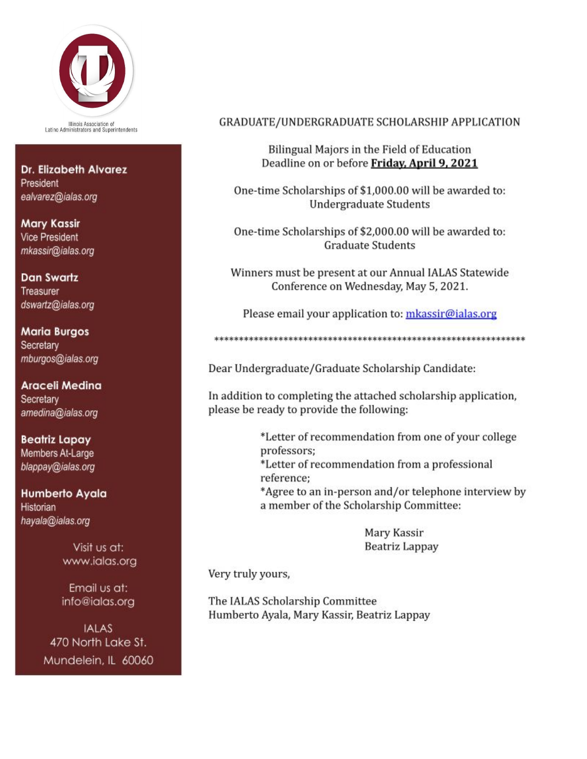

Illinois Association of<br>Latino Administrators and Superintendents

Dr. Elizabeth Alvarez President ealvarez@ialas.org

**Mary Kassir Vice President** mkassir@ialas.org

**Dan Swartz** Treasurer dswartz@ialas.org

**Maria Burgos** Secretary mburgos@ialas.org

Araceli Medina Secretary amedina@ialas.org

**Beatriz Lapay** Members At-Large blappay@ialas.org

Humberto Ayala **Historian** hayala@ialas.org

> Visit us at: www.ialas.org

Email us at: info@ialas.org

**IALAS** 470 North Lake St. Mundelein, IL 60060

## GRADUATE/UNDERGRADUATE SCHOLARSHIP APPLICATION

Bilingual Majors in the Field of Education Deadline on or before Friday, April 9, 2021

One-time Scholarships of \$1,000.00 will be awarded to: **Undergraduate Students** 

One-time Scholarships of \$2,000.00 will be awarded to: **Graduate Students** 

Winners must be present at our Annual IALAS Statewide Conference on Wednesday, May 5, 2021.

Please email your application to: mkassir@ialas.org

Dear Undergraduate/Graduate Scholarship Candidate:

In addition to completing the attached scholarship application, please be ready to provide the following:

> \*Letter of recommendation from one of your college professors: \*Letter of recommendation from a professional reference: \*Agree to an in-person and/or telephone interview by a member of the Scholarship Committee:

> > Mary Kassir

Beatriz Lappay

Very truly yours,

The IALAS Scholarship Committee Humberto Ayala, Mary Kassir, Beatriz Lappay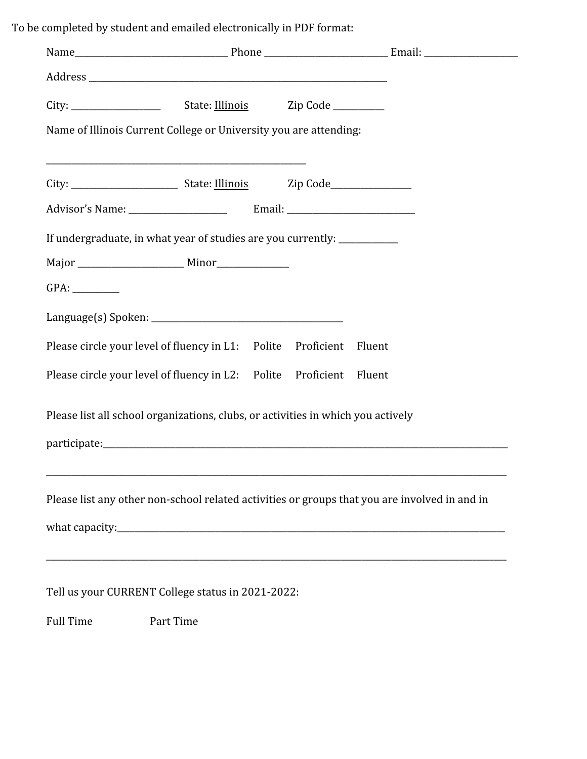To be completed by student and emailed electronically in PDF format:

| Name of Illinois Current College or University you are attending:                             |  |        |  |
|-----------------------------------------------------------------------------------------------|--|--------|--|
|                                                                                               |  |        |  |
|                                                                                               |  |        |  |
|                                                                                               |  |        |  |
| If undergraduate, in what year of studies are you currently: ____________                     |  |        |  |
|                                                                                               |  |        |  |
|                                                                                               |  |        |  |
|                                                                                               |  |        |  |
| Please circle your level of fluency in L1: Polite Proficient                                  |  | Fluent |  |
| Please circle your level of fluency in L2: Polite Proficient                                  |  | Fluent |  |
| Please list all school organizations, clubs, or activities in which you actively              |  |        |  |
|                                                                                               |  |        |  |
|                                                                                               |  |        |  |
| Please list any other non-school related activities or groups that you are involved in and in |  |        |  |
|                                                                                               |  |        |  |
|                                                                                               |  |        |  |
| Tell us your CURRENT College status in 2021-2022:                                             |  |        |  |

Full Time Part Time